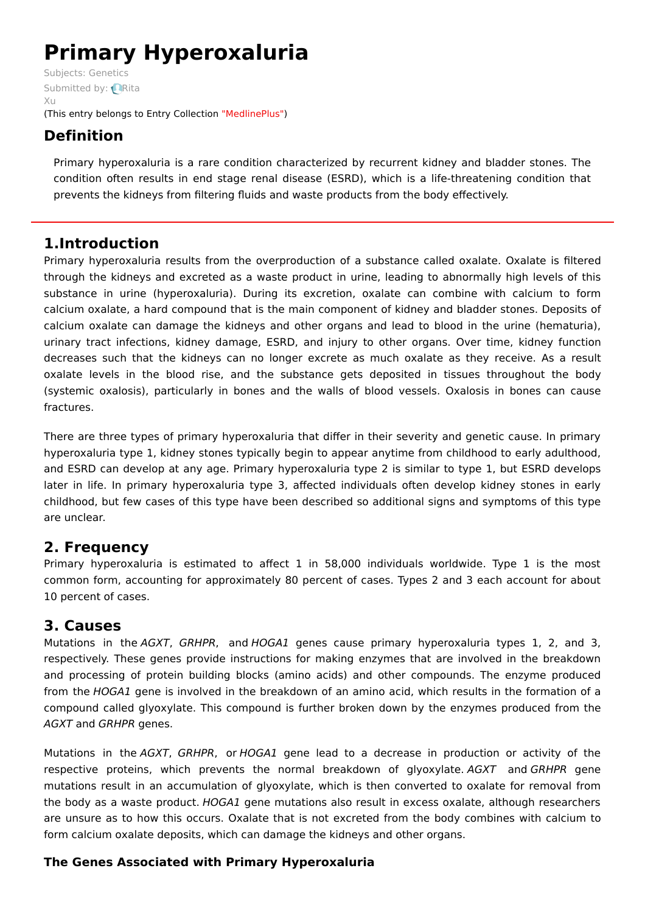# **Primary Hyperoxaluria**

Subjects: [Genetics](https://encyclopedia.pub/item/subject/56) [Submitted](https://sciprofiles.com/profile/915637) by: **Rita**  $X_{11}$ (This entry belongs to Entry Collection ["MedlinePlus"](https://encyclopedia.pub/entry/collection/24))

# **Definition**

Primary hyperoxaluria is a rare condition characterized by recurrent kidney and bladder stones. The condition often results in end stage renal disease (ESRD), which is a life-threatening condition that prevents the kidneys from filtering fluids and waste products from the body effectively.

## **1.Introduction**

Primary hyperoxaluria results from the overproduction of a substance called oxalate. Oxalate is filtered through the kidneys and excreted as a waste product in urine, leading to abnormally high levels of this substance in urine (hyperoxaluria). During its excretion, oxalate can combine with calcium to form calcium oxalate, a hard compound that is the main component of kidney and bladder stones. Deposits of calcium oxalate can damage the kidneys and other organs and lead to blood in the urine (hematuria), urinary tract infections, kidney damage, ESRD, and injury to other organs. Over time, kidney function decreases such that the kidneys can no longer excrete as much oxalate as they receive. As a result oxalate levels in the blood rise, and the substance gets deposited in tissues throughout the body (systemic oxalosis), particularly in bones and the walls of blood vessels. Oxalosis in bones can cause fractures.

There are three types of primary hyperoxaluria that differ in their severity and genetic cause. In primary hyperoxaluria type 1, kidney stones typically begin to appear anytime from childhood to early adulthood, and ESRD can develop at any age. Primary hyperoxaluria type 2 is similar to type 1, but ESRD develops later in life. In primary hyperoxaluria type 3, affected individuals often develop kidney stones in early childhood, but few cases of this type have been described so additional signs and symptoms of this type are unclear.

# **2. Frequency**

Primary hyperoxaluria is estimated to affect 1 in 58,000 individuals worldwide. Type 1 is the most common form, accounting for approximately 80 percent of cases. Types 2 and 3 each account for about 10 percent of cases.

### **3. Causes**

Mutations in the AGXT, GRHPR, and HOGA1 genes cause primary hyperoxaluria types 1, 2, and 3, respectively. These genes provide instructions for making enzymes that are involved in the breakdown and processing of protein building blocks (amino acids) and other compounds. The enzyme produced from the HOGA1 gene is involved in the breakdown of an amino acid, which results in the formation of a compound called glyoxylate. This compound is further broken down by the enzymes produced from the AGXT and GRHPR genes.

Mutations in the AGXT, GRHPR, or HOGA1 gene lead to a decrease in production or activity of the respective proteins, which prevents the normal breakdown of glyoxylate. AGXT and GRHPR gene mutations result in an accumulation of glyoxylate, which is then converted to oxalate for removal from the body as a waste product. HOGA1 gene mutations also result in excess oxalate, although researchers are unsure as to how this occurs. Oxalate that is not excreted from the body combines with calcium to form calcium oxalate deposits, which can damage the kidneys and other organs.

#### **The Genes Associated with Primary Hyperoxaluria**